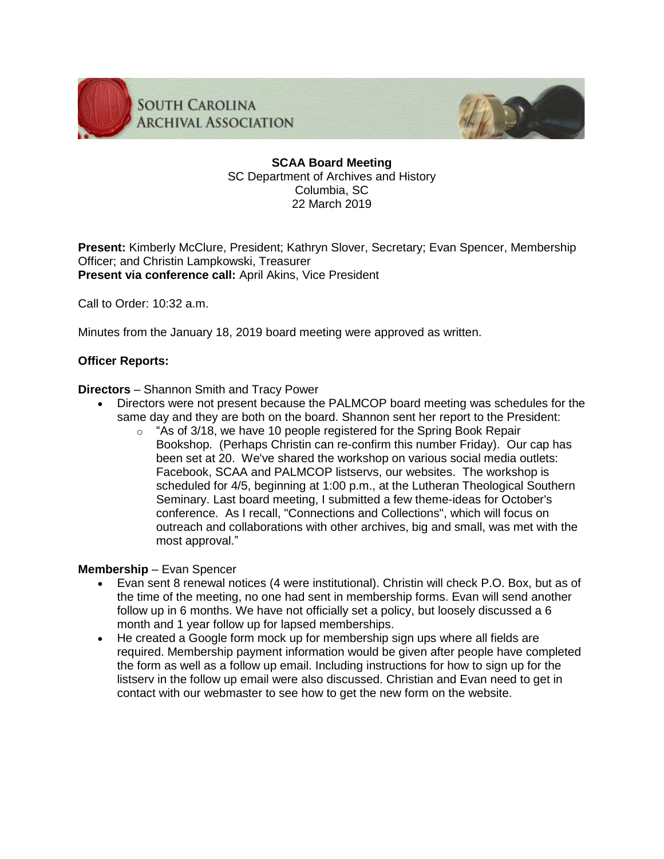

**SOUTH CAROLINA ARCHIVAL ASSOCIATION** 



**SCAA Board Meeting** SC Department of Archives and History Columbia, SC 22 March 2019

**Present:** Kimberly McClure, President; Kathryn Slover, Secretary; Evan Spencer, Membership Officer; and Christin Lampkowski, Treasurer **Present via conference call:** April Akins, Vice President

Call to Order: 10:32 a.m.

Minutes from the January 18, 2019 board meeting were approved as written.

# **Officer Reports:**

**Directors** – Shannon Smith and Tracy Power

- Directors were not present because the PALMCOP board meeting was schedules for the same day and they are both on the board. Shannon sent her report to the President:
	- $\circ$  "As of 3/18, we have 10 people registered for the Spring Book Repair Bookshop. (Perhaps Christin can re-confirm this number Friday). Our cap has been set at 20. We've shared the workshop on various social media outlets: Facebook, SCAA and PALMCOP listservs, our websites. The workshop is scheduled for 4/5, beginning at 1:00 p.m., at the Lutheran Theological Southern Seminary. Last board meeting, I submitted a few theme-ideas for October's conference. As I recall, "Connections and Collections", which will focus on outreach and collaborations with other archives, big and small, was met with the most approval."

# **Membership** – Evan Spencer

- Evan sent 8 renewal notices (4 were institutional). Christin will check P.O. Box, but as of the time of the meeting, no one had sent in membership forms. Evan will send another follow up in 6 months. We have not officially set a policy, but loosely discussed a 6 month and 1 year follow up for lapsed memberships.
- He created a Google form mock up for membership sign ups where all fields are required. Membership payment information would be given after people have completed the form as well as a follow up email. Including instructions for how to sign up for the listserv in the follow up email were also discussed. Christian and Evan need to get in contact with our webmaster to see how to get the new form on the website.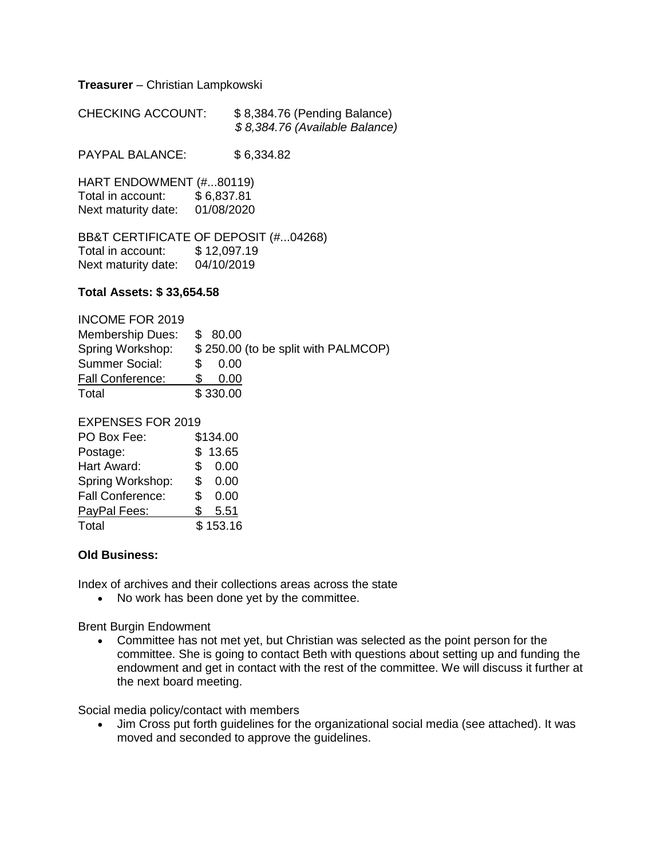**Treasurer** – Christian Lampkowski

| <b>CHECKING ACCOUNT:</b> | \$8,384.76 (Pending Balance)   |
|--------------------------|--------------------------------|
|                          | \$8,384.76 (Available Balance) |

PAYPAL BALANCE: \$6,334.82

HART ENDOWMENT (#...80119) Total in account: \$6,837.81 Next maturity date: 01/08/2020

BB&T CERTIFICATE OF DEPOSIT (#...04268) Total in account: \$ 12,097.19 Next maturity date: 04/10/2019

### **Total Assets: \$ 33,654.58**

# INCOME FOR 2019

| <b>Membership Dues:</b> | \$80.00                             |
|-------------------------|-------------------------------------|
| Spring Workshop:        | \$250.00 (to be split with PALMCOP) |
| <b>Summer Social:</b>   | 0.00<br>SS.                         |
| Fall Conference:        | 0.00                                |
| Total                   | \$330.00                            |

### EXPENSES FOR 2019

| PO Box Fee:             |     | \$134.00 |
|-------------------------|-----|----------|
| Postage:                |     | \$13.65  |
| Hart Award:             | \$. | 0.00     |
| Spring Workshop:        | \$  | 0.00     |
| <b>Fall Conference:</b> | \$  | 0.00     |
| PayPal Fees:            | \$. | 5.51     |
| Total                   |     | \$153.16 |

## **Old Business:**

Index of archives and their collections areas across the state

• No work has been done yet by the committee.

#### Brent Burgin Endowment

 Committee has not met yet, but Christian was selected as the point person for the committee. She is going to contact Beth with questions about setting up and funding the endowment and get in contact with the rest of the committee. We will discuss it further at the next board meeting.

Social media policy/contact with members

 Jim Cross put forth guidelines for the organizational social media (see attached). It was moved and seconded to approve the guidelines.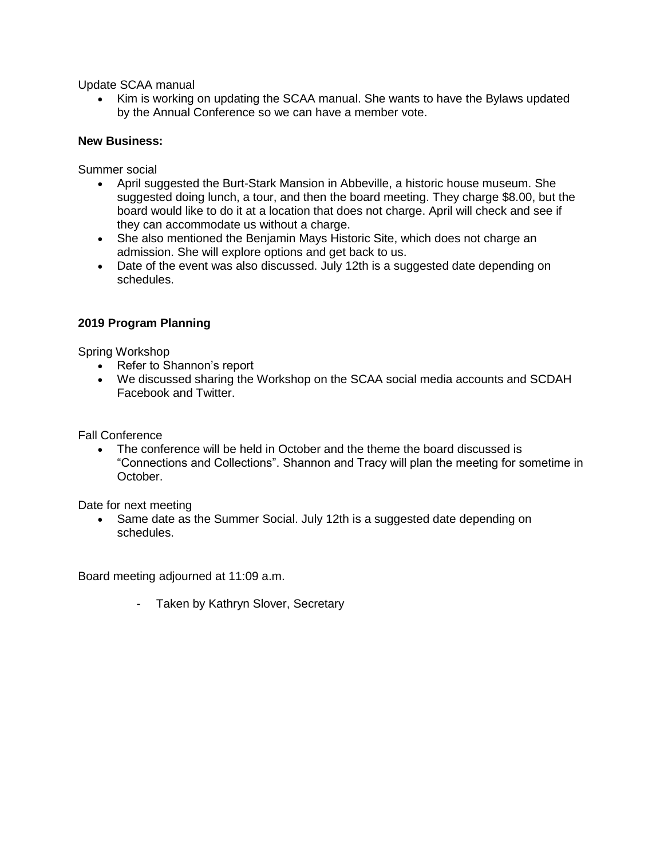Update SCAA manual

• Kim is working on updating the SCAA manual. She wants to have the Bylaws updated by the Annual Conference so we can have a member vote.

### **New Business:**

Summer social

- April suggested the Burt-Stark Mansion in Abbeville, a historic house museum. She suggested doing lunch, a tour, and then the board meeting. They charge \$8.00, but the board would like to do it at a location that does not charge. April will check and see if they can accommodate us without a charge.
- She also mentioned the Benjamin Mays Historic Site, which does not charge an admission. She will explore options and get back to us.
- Date of the event was also discussed. July 12th is a suggested date depending on schedules.

### **2019 Program Planning**

Spring Workshop

- Refer to Shannon's report
- We discussed sharing the Workshop on the SCAA social media accounts and SCDAH Facebook and Twitter.

Fall Conference

 The conference will be held in October and the theme the board discussed is "Connections and Collections". Shannon and Tracy will plan the meeting for sometime in October.

Date for next meeting

• Same date as the Summer Social. July 12th is a suggested date depending on schedules.

Board meeting adjourned at 11:09 a.m.

- Taken by Kathryn Slover, Secretary